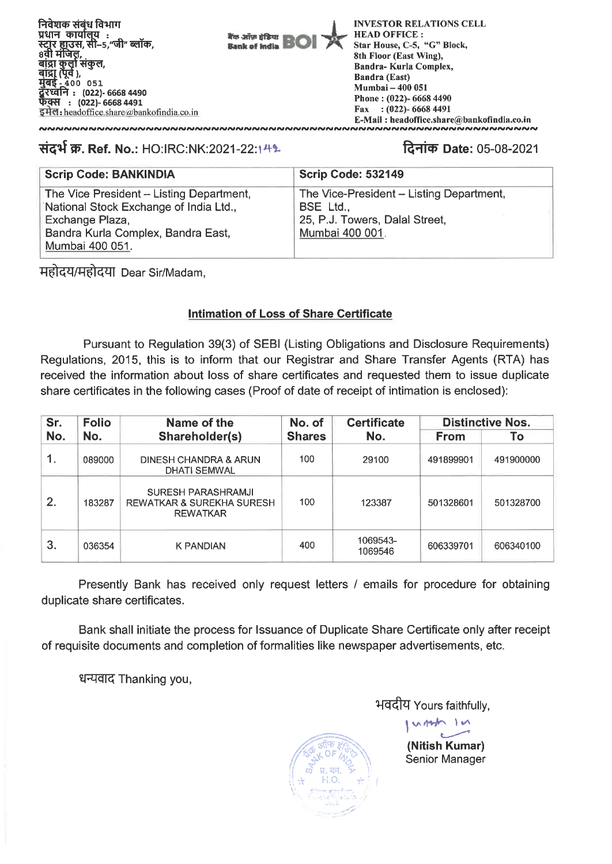निवेशक संबंध विभाग प्रधान कार्यालय : स्ट्रार ह्यूउस, सी–5 "जी" ब्लॉक. 8वी मंजिल, बांद्रा कुर्ला संकुल,<br>बांद्रा (पूर्व ),  $4000051$ रध्वनि : (022)- 6668 4490 फैक्स : (022)- 6668 4491 इमेल: headoffice share  $\omega$ bankofindia.co.in



**INVESTOR RELATIONS CELL HEAD OFFICE:** Star House, C-5, "G" Block, 8th Floor (East Wing), Bandra-Kurla Complex, **Bandra (East)** Mumbai - 400 051 Phone: (022)- 6668 4490 Fax:  $(022)$ -6668 4491 E-Mail: headoffice.share@bankofindia.co.in

# संदर्भ क्र. Ref. No.: HO:IRC:NK:2021-22:14%

# दिनांक Date: 05-08-2021

| <b>Scrip Code: BANKINDIA</b>                                                                                                                                   | Scrip Code: 532149                                                                                         |  |  |  |  |
|----------------------------------------------------------------------------------------------------------------------------------------------------------------|------------------------------------------------------------------------------------------------------------|--|--|--|--|
| The Vice President - Listing Department,<br>National Stock Exchange of India Ltd.,<br>Exchange Plaza,<br>Bandra Kurla Complex, Bandra East,<br>Mumbai 400 051. | The Vice-President - Listing Department,<br>BSE Ltd.,<br>25, P.J. Towers, Dalal Street,<br>Mumbai 400 001. |  |  |  |  |

महोदय/महोदया Dear Sir/Madam.

# **Intimation of Loss of Share Certificate**

Pursuant to Regulation 39(3) of SEBI (Listing Obligations and Disclosure Requirements) Regulations, 2015, this is to inform that our Registrar and Share Transfer Agents (RTA) has received the information about loss of share certificates and requested them to issue duplicate share certificates in the following cases (Proof of date of receipt of intimation is enclosed):

| Sr. | <b>Folio</b> | Name of the                                                        | No. of        | <b>Certificate</b>  | <b>Distinctive Nos.</b> |           |
|-----|--------------|--------------------------------------------------------------------|---------------|---------------------|-------------------------|-----------|
| No. | No.          | Shareholder(s)                                                     | <b>Shares</b> | No.                 | <b>From</b>             | To        |
| 1.  | 089000       | DINESH CHANDRA & ARUN<br><b>DHATI SEMWAL</b>                       | 100           | 29100               | 491899901               | 491900000 |
| 2.  | 183287       | SURESH PARASHRAMJI<br>REWATKAR & SUREKHA SURESH<br><b>REWATKAR</b> | 100           | 123387              | 501328601               | 501328700 |
| 3.  | 036354       | <b>K PANDIAN</b>                                                   | 400           | 1069543-<br>1069546 | 606339701               | 606340100 |

Presently Bank has received only request letters / emails for procedure for obtaining duplicate share certificates.

Bank shall initiate the process for Issuance of Duplicate Share Certificate only after receipt of requisite documents and completion of formalities like newspaper advertisements, etc.

धन्यवाद Thanking you,

भवदीय Yours faithfully,

ump In (Nitish Kumar) Senior Manager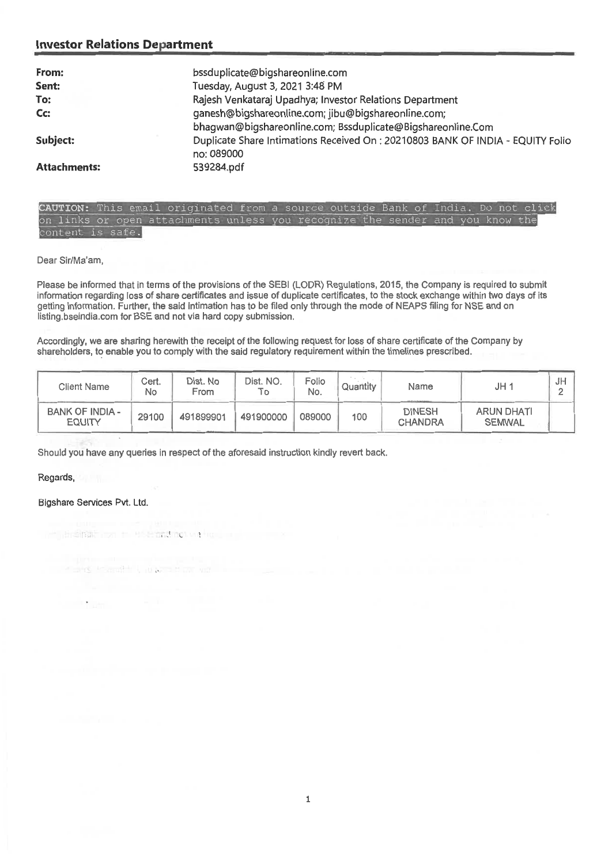## **Investor Relations Department**

| From:               | bssduplicate@bigshareonline.com                                                 |
|---------------------|---------------------------------------------------------------------------------|
| Sent:               | Tuesday, August 3, 2021 3:48 PM                                                 |
| To:                 | Rajesh Venkataraj Upadhya; Investor Relations Department                        |
| Cc:                 | ganesh@bigshareonline.com; jibu@bigshareonline.com;                             |
|                     | bhagwan@bigshareonline.com; Bssduplicate@Bigshareonline.Com                     |
| Subject:            | Duplicate Share Intimations Received On : 20210803 BANK OF INDIA - EQUITY Folio |
|                     | no: 089000                                                                      |
| <b>Attachments:</b> | 539284.pdf                                                                      |

••=30110EaliMI

### **AUTION:** This email originated from a source outside Bank of India. Do not click on links or open attachments unless you recognize the sender and you content is safe.

Dear Sir/Ma'am,

Please be informed that in terms of the provisions of the SEBI (LODR) Regulations, 2015, the Company is required to submit information regarding loss of share certificates and issue of duplicate certificates, to the stock exchange within two days of its getting information. Further, the said intimation has to be filed only through the mode of NEAPS filing for NSE and on listing,bseindia.com for BSE and not via hard copy submission.

Accordingly, we are sharing herewith the receipt of the following request for loss of share certificate of the Company by shareholders, to enable you to comply with the said regulatory requirement within the timelines prescribed.

| <b>Client Name</b>               | Cert.<br>No | Dist. No<br>From | Dist. NO.<br>Тo | Folio<br>No. | Quantity | Name                            | JH 1                               | J⊬ |
|----------------------------------|-------------|------------------|-----------------|--------------|----------|---------------------------------|------------------------------------|----|
| BANK OF INDIA -<br><b>EQUITY</b> | 29100       | 491899901        | 491900000       | 089000       | 100      | <b>DINESH</b><br><b>CHANDRA</b> | <b>ARUN DHATI</b><br><b>SEMWAL</b> |    |

Should you have any queries in respect of the aforesaid instruction kindly revert back.

#### Regards,

### Bigshare Services Pvt. Ltd.

**TACCA** 

in a small on the band on we wa

行动组织 计设计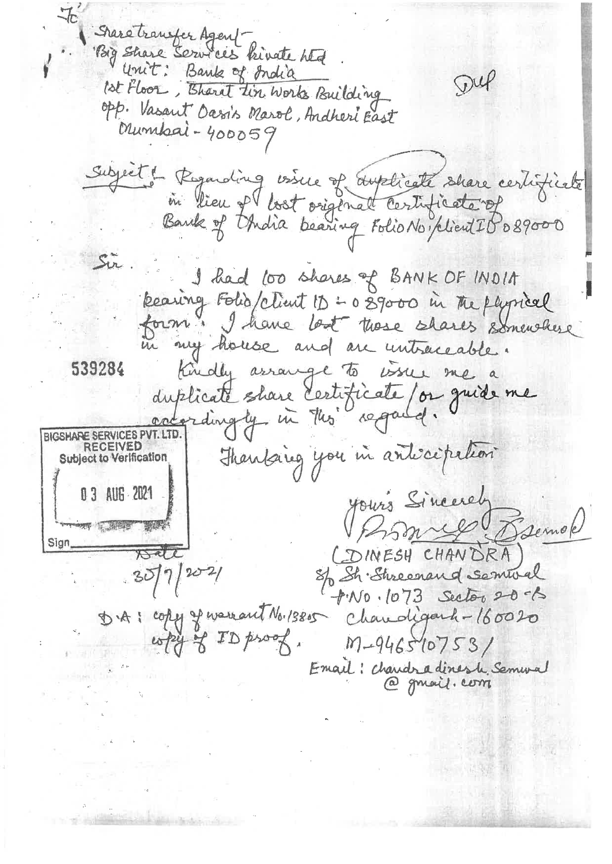Share transfer Agent Big Share Services kinate Ata  $\mathcal{D} u$ ist Floor, Thant tin Works Building opp. Vasant Oasis Marol, Andheri East Mumbai-400059 Subject & Regarding visice of duplicate share certificate Sir. I had too shares of BANK OF INDIA Rearing Folia/client 11 : 0 89000 in the physical form I have lost those shares somewhere in my house and are untraceable. 539284 Kindly arrange to issue me a duplicate share certificate/or quide me adordingly in this regard. BIGSHARE SERVICES PVT. LTD. Thanking you in anticipation **RECEIVED Subject to Verification** 0 3 AUG 2021 yours Sincerely Brownes Bremok THE SHOP STATE Sign\_ CDINESH CHANDRA Dale  $3077/202/$ S/ Sh Shreenand Semival  $+100.1073$  Sector 20-6 D.A: copy of warrant No. 19805 Chandigard-160020 Email: chandradinesh Semmal @ gmail. com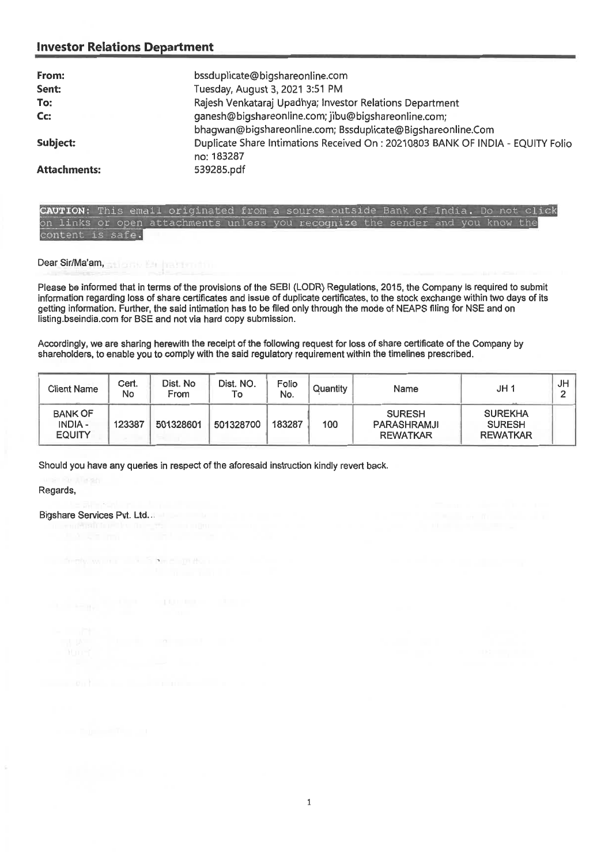## **Investor Relations Department**

| From:               | bssduplicate@bigshareonline.com                                                 |  |  |  |  |
|---------------------|---------------------------------------------------------------------------------|--|--|--|--|
| Sent:               | Tuesday, August 3, 2021 3:51 PM                                                 |  |  |  |  |
| To:                 | Rajesh Venkataraj Upadhya; Investor Relations Department                        |  |  |  |  |
| Cc:                 | ganesh@bigshareonline.com; jibu@bigshareonline.com;                             |  |  |  |  |
|                     | bhagwan@bigshareonline.com; Bssduplicate@Bigshareonline.Com                     |  |  |  |  |
| Subject:            | Duplicate Share Intimations Received On : 20210803 BANK OF INDIA - EQUITY Folio |  |  |  |  |
|                     | no: 183287                                                                      |  |  |  |  |
| <b>Attachments:</b> | 539285.pdf                                                                      |  |  |  |  |

CAUTION: This email originated from a source outside Bank of India. Do not on links or open attachments unless you recognize the sender and you know the content is safe.

**Dear Sir/Ma'am,** 

**Please be** informed that in terms of the provisions of the SEBI (LODR) Regulations, 2015, the Company is required to submit information regarding loss of share certificates and issue of duplicate certificates, to the stock exchange within two days of its getting information. Further, the said intimation has to be filed only through the mode of NEAPS filing for NSE and on listing.bseindia.com for BSE and not via hard copy submission.

**Accordingly, we are sharing herewith the receipt of the following request for loss of share certificate of the Company by**  shareholders, to enable you to comply with the said regulatory requirement within the timelines prescribed,

| <b>Client Name</b>                                | Cert.<br>No | Dist. No<br>From | Dist. NO.<br>To | Folio<br>No. | Quantity | Name                                            | JH <sub>1</sub>                                    | JH |
|---------------------------------------------------|-------------|------------------|-----------------|--------------|----------|-------------------------------------------------|----------------------------------------------------|----|
| <b>BANK OF</b><br><b>INDIA -</b><br><b>EQUITY</b> | 123387      | 501328601        | 501328700       | 183287       | 100      | <b>SURESH</b><br>PARASHRAMJI<br><b>REWATKAR</b> | <b>SUREKHA</b><br><b>SURESH</b><br><b>REWATKAR</b> |    |

Should you have any queries in respect of the aforesaid instruction kindly revert back.

Regards,

**Bigshare Services Pvt. Ltd..**.

firth wind 3 Smc mt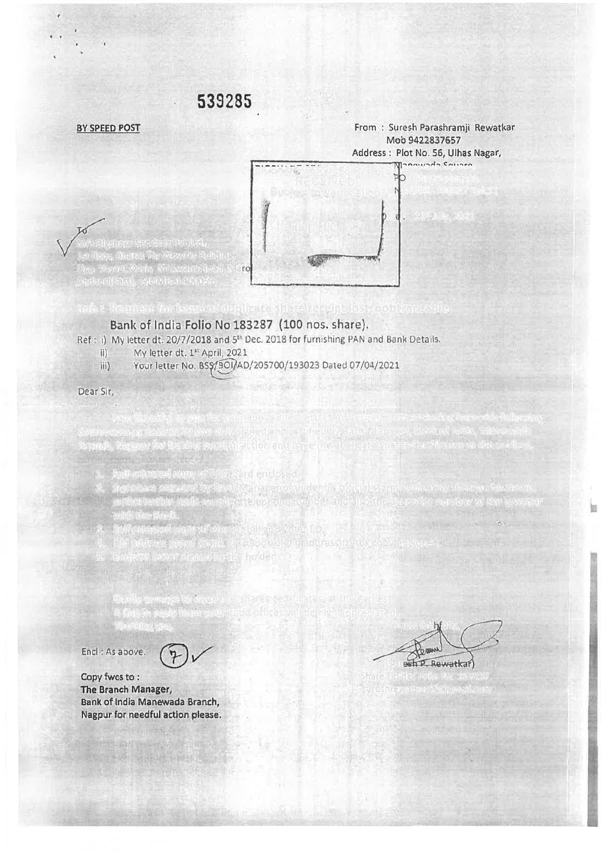

BY SPEED POST FROM IN THE REWATKARD FROM INC. THE REWATKARD SURFACE IN THE REWATKARD IN THE REWATKARD IN THE REWATKARD

## Bank of India Folio No 183287 (100 nos. share).

Branch, Nagpur for further needful action and issue me duplicate shares Certificates at the earliest,

authorization code an adults telephone number and

1. Self-attested copy of PAN Card enclosed,

with the Bank of Control of the Bank.<br>With the Bank of Control of the Bank of the Bank of the Bank of the Bank of the Bank of the Bank of the Bank o

- Ref: i) My letter dt. 20/7/2018 and 5<sup>th</sup> Dec. 2018 for furnishing PAN and Bank Details.
	- ii) My letter dt. 1" April, 2021
	- iii) Your letter No. BS\$/301/AD/205700/193023 Dated 07/04/2021

2. Signature attested by Bank Manager of under his official stamp indicating thereon his name,

A line in reply from your good offices will be high appreciated.

Dear Sir,

M/s Bigshare Services Pvt Ltd., 1st floor, Bharat Tin Wowrks

Encl : As above.

Bank of India Manewada Branch, Nagpur for needful action please. The Branch Manager, Copy fwes to:

estr P. Rewatka Thanking you, Yours faitl ully,  $\overline{a}$ Formul  $\rightarrow$